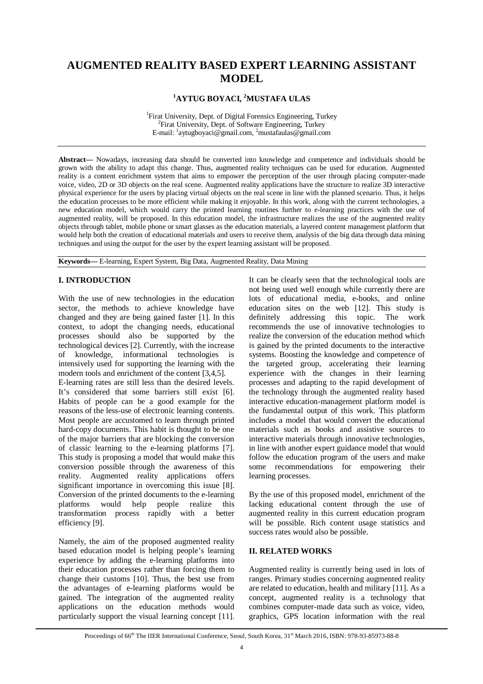# **AUGMENTED REALITY BASED EXPERT LEARNING ASSISTANT MODEL**

## **<sup>1</sup>AYTUG BOYACI, <sup>2</sup>MUSTAFA ULAS**

<sup>1</sup>Firat University, Dept. of Digital Forensics Engineering, Turkey <sup>2</sup>Firat University, Dept. of Software Engineering, Turkey E-mail: <sup>1</sup>aytugboyaci@gmail.com, <sup>2</sup>mustafaulas@gmail.com

**Abstract—** Nowadays, increasing data should be converted into knowledge and competence and individuals should be grown with the ability to adapt this change. Thus, augmented reality techniques can be used for education. Augmented reality is a content enrichment system that aims to empower the perception of the user through placing computer-made voice, video, 2D or 3D objects on the real scene. Augmented reality applications have the structure to realize 3D interactive physical experience for the users by placing virtual objects on the real scene in line with the planned scenario. Thus, it helps the education processes to be more efficient while making it enjoyable. In this work, along with the current technologies, a new education model, which would carry the printed learning routines further to e-learning practices with the use of augmented reality, will be proposed. In this education model, the infrastructure realizes the use of the augmented reality objects through tablet, mobile phone or smart glasses as the education materials, a layered content management platform that would help both the creation of educational materials and users to receive them, analysis of the big data through data mining techniques and using the output for the user by the expert learning assistant will be proposed.

**Keywords—** E-learning, Expert System, Big Data, Augmented Reality, Data Mining

# **I. INTRODUCTION**

With the use of new technologies in the education sector, the methods to achieve knowledge have changed and they are being gained faster [1]. In this context, to adopt the changing needs, educational processes should also be supported by the technological devices [2]. Currently, with the increase of knowledge, informational technologies is intensively used for supporting the learning with the modern tools and enrichment of the content [3,4,5]. E-learning rates are still less than the desired levels. It's considered that some barriers still exist [6]. Habits of people can be a good example for the reasons of the less-use of electronic learning contents. Most people are accustomed to learn through printed hard-copy documents. This habit is thought to be one of the major barriers that are blocking the conversion of classic learning to the e-learning platforms [7]. This study is proposing a model that would make this conversion possible through the awareness of this reality. Augmented reality applications offers significant importance in overcoming this issue [8]. Conversion of the printed documents to the e-learning platforms would help people realize this transformation process rapidly with a better efficiency [9].

Namely, the aim of the proposed augmented reality based education model is helping people's learning experience by adding the e-learning platforms into their education processes rather than forcing them to change their customs [10]. Thus, the best use from the advantages of e-learning platforms would be gained. The integration of the augmented reality applications on the education methods would particularly support the visual learning concept [11].

It can be clearly seen that the technological tools are not being used well enough while currently there are lots of educational media, e-books, and online education sites on the web [12]. This study is definitely addressing this topic. The work recommends the use of innovative technologies to realize the conversion of the education method which is gained by the printed documents to the interactive systems. Boosting the knowledge and competence of the targeted group, accelerating their learning experience with the changes in their learning processes and adapting to the rapid development of the technology through the augmented reality based interactive education-management platform model is the fundamental output of this work. This platform includes a model that would convert the educational materials such as books and assistive sources to interactive materials through innovative technologies, in line with another expert guidance model that would follow the education program of the users and make some recommendations for empowering their learning processes.

By the use of this proposed model, enrichment of the lacking educational content through the use of augmented reality in this current education program will be possible. Rich content usage statistics and success rates would also be possible.

### **II. RELATED WORKS**

Augmented reality is currently being used in lots of ranges. Primary studies concerning augmented reality are related to education, health and military [11]. As a concept, augmented reality is a technology that combines computer-made data such as voice, video, graphics, GPS location information with the real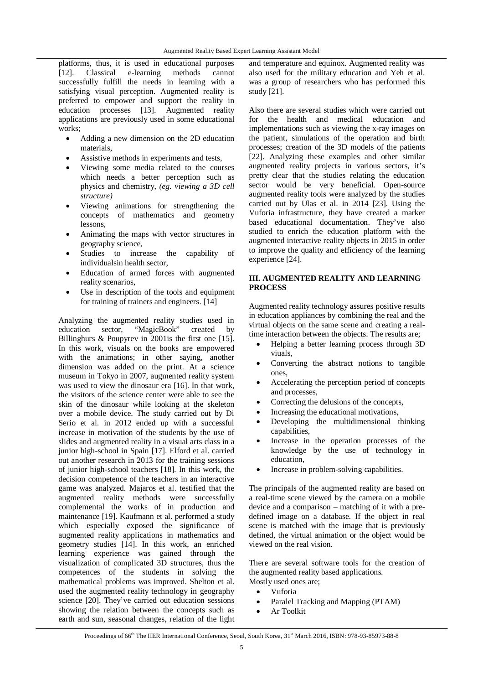platforms, thus, it is used in educational purposes [12]. Classical e-learning methods cannot successfully fulfill the needs in learning with a satisfying visual perception. Augmented reality is preferred to empower and support the reality in education processes [13]. Augmented reality applications are previously used in some educational works;

- Adding a new dimension on the 2D education materials,
- Assistive methods in experiments and tests,
- Viewing some media related to the courses which needs a better perception such as physics and chemistry, *(eg. viewing a 3D cell structure)*
- Viewing animations for strengthening the concepts of mathematics and geometry lessons,
- Animating the maps with vector structures in geography science,
- Studies to increase the capability of individualsin health sector,
- Education of armed forces with augmented reality scenarios,
- Use in description of the tools and equipment for training of trainers and engineers. [14]

Analyzing the augmented reality studies used in education sector, "MagicBook" created by sector, "MagicBook" created by Billinghurs & Poupyrev in 2001is the first one [15]. In this work, visuals on the books are empowered with the animations; in other saying, another dimension was added on the print. At a science museum in Tokyo in 2007, augmented reality system was used to view the dinosaur era [16]. In that work, the visitors of the science center were able to see the skin of the dinosaur while looking at the skeleton over a mobile device. The study carried out by Di Serio et al. in 2012 ended up with a successful increase in motivation of the students by the use of slides and augmented reality in a visual arts class in a junior high-school in Spain [17]. Elford et al. carried out another research in 2013 for the training sessions of junior high-school teachers [18]. In this work, the decision competence of the teachers in an interactive game was analyzed. Majaros et al. testified that the augmented reality methods were successfully complemental the works of in production and maintenance [19]. Kaufmann et al. performed a study which especially exposed the significance of augmented reality applications in mathematics and geometry studies [14]. In this work, an enriched learning experience was gained through the visualization of complicated 3D structures, thus the competences of the students in solving the mathematical problems was improved. Shelton et al. used the augmented reality technology in geography science [20]. They've carried out education sessions showing the relation between the concepts such as earth and sun, seasonal changes, relation of the light

and temperature and equinox. Augmented reality was also used for the military education and Yeh et al. was a group of researchers who has performed this study [21].

Also there are several studies which were carried out for the health and medical education and implementations such as viewing the x-ray images on the patient, simulations of the operation and birth processes; creation of the 3D models of the patients [22]. Analyzing these examples and other similar augmented reality projects in various sectors, it's pretty clear that the studies relating the education sector would be very beneficial. Open-source augmented reality tools were analyzed by the studies carried out by Ulas et al. in 2014 [23]. Using the Vuforia infrastructure, they have created a marker based educational documentation. They've also studied to enrich the education platform with the augmented interactive reality objects in 2015 in order to improve the quality and efficiency of the learning experience [24].

## **III. AUGMENTED REALITY AND LEARNING PROCESS**

Augmented reality technology assures positive results in education appliances by combining the real and the virtual objects on the same scene and creating a realtime interaction between the objects. The results are;

- Helping a better learning process through 3D viuals,
- Converting the abstract notions to tangible ones,
- Accelerating the perception period of concepts and processes,
- Correcting the delusions of the concepts,
- Increasing the educational motivations,
- Developing the multidimensional thinking capabilities,
- Increase in the operation processes of the knowledge by the use of technology in education,
- Increase in problem-solving capabilities.

The principals of the augmented reality are based on a real-time scene viewed by the camera on a mobile device and a comparison – matching of it with a predefined image on a database. If the object in real scene is matched with the image that is previously defined, the virtual animation or the object would be viewed on the real vision.

There are several software tools for the creation of the augmented reality based applications. Mostly used ones are;

- Vuforia
- Paralel Tracking and Mapping (PTAM)
- Ar Toolkit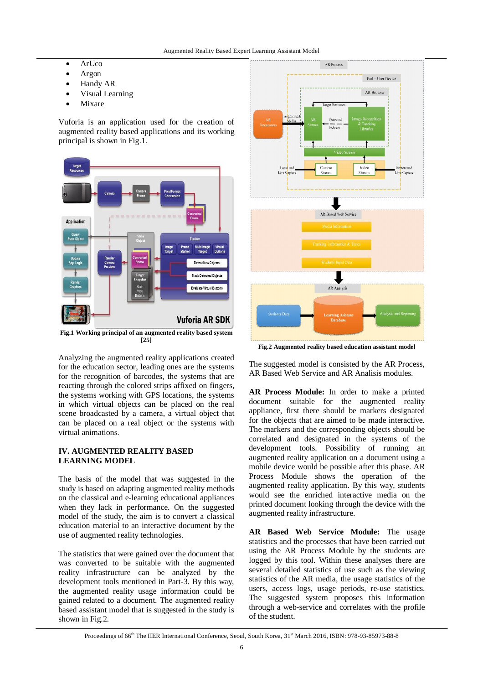- ArUco
- Argon
- Handy AR
- Visual Learning
- Mixare

Vuforia is an application used for the creation of augmented reality based applications and its working principal is shown in Fig.1.



**Fig.1 Working principal of an augmented reality based system [25]**

Analyzing the augmented reality applications created for the education sector, leading ones are the systems for the recognition of barcodes, the systems that are reacting through the colored strips affixed on fingers, the systems working with GPS locations, the systems in which virtual objects can be placed on the real scene broadcasted by a camera, a virtual object that can be placed on a real object or the systems with virtual animations.

# **IV. AUGMENTED REALITY BASED LEARNING MODEL**

The basis of the model that was suggested in the study is based on adapting augmented reality methods on the classical and e-learning educational appliances when they lack in performance. On the suggested model of the study, the aim is to convert a classical education material to an interactive document by the use of augmented reality technologies.

The statistics that were gained over the document that was converted to be suitable with the augmented reality infrastructure can be analyzed by the development tools mentioned in Part-3. By this way, the augmented reality usage information could be gained related to a document. The augmented reality based assistant model that is suggested in the study is shown in Fig.2.



**Fig.2 Augmented reality based education assistant model**

The suggested model is consisted by the AR Process, AR Based Web Service and AR Analisis modules.

**AR Process Module:** In order to make a printed document suitable for the augmented reality appliance, first there should be markers designated for the objects that are aimed to be made interactive. The markers and the corresponding objects should be correlated and designated in the systems of the development tools. Possibility of running an augmented reality application on a document using a mobile device would be possible after this phase. AR Process Module shows the operation of the augmented reality application. By this way, students would see the enriched interactive media on the printed document looking through the device with the augmented reality infrastructure.

**AR Based Web Service Module:** The usage statistics and the processes that have been carried out using the AR Process Module by the students are logged by this tool. Within these analyses there are several detailed statistics of use such as the viewing statistics of the AR media, the usage statistics of the users, access logs, usage periods, re-use statistics. The suggested system proposes this information through a web-service and correlates with the profile of the student.